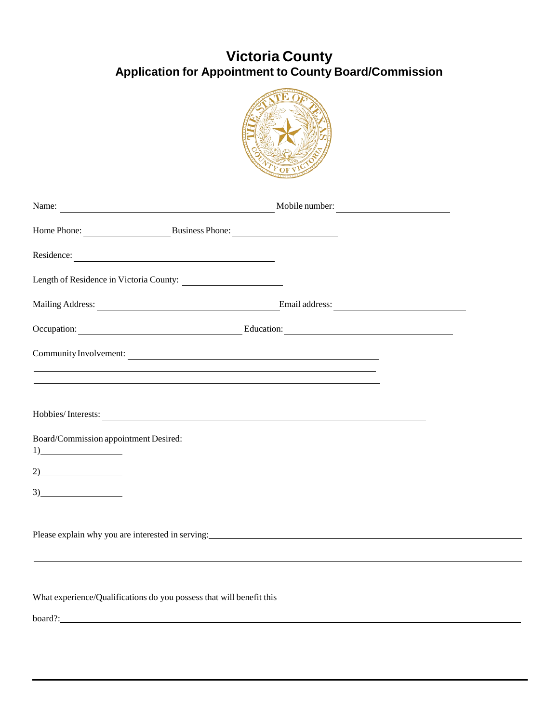## **Victoria County Application for Appointment to County Board/Commission**



| Home Phone: Business Phone:                                                                                  |  |  |
|--------------------------------------------------------------------------------------------------------------|--|--|
| Residence:                                                                                                   |  |  |
| Length of Residence in Victoria County:                                                                      |  |  |
|                                                                                                              |  |  |
| Occupation: Education: Education:                                                                            |  |  |
| Community Involvement:                                                                                       |  |  |
|                                                                                                              |  |  |
| Hobbies/Interests:                                                                                           |  |  |
| Board/Commission appointment Desired:<br>1)                                                                  |  |  |
|                                                                                                              |  |  |
| 3)                                                                                                           |  |  |
| Please explain why you are interested in serving:<br><u>Dease explain why you are interested in serving:</u> |  |  |
|                                                                                                              |  |  |
|                                                                                                              |  |  |

What experience/Qualifications do you possess that will benefit this

board?: